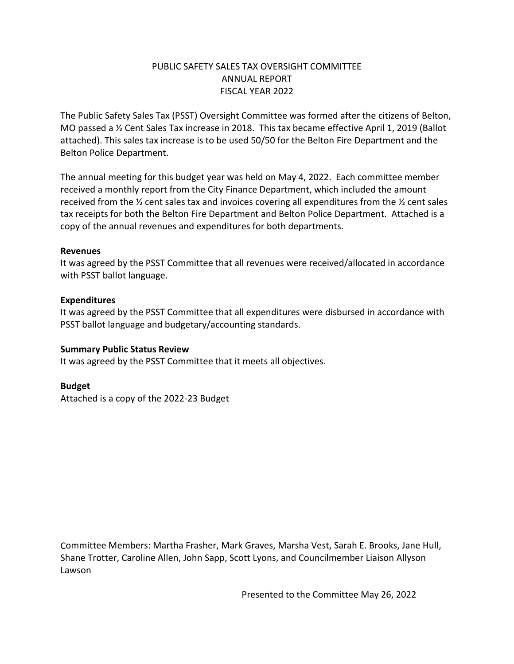# PUBLIC SAFETY SALES TAX OVERSIGHT COMMITTEE ANNUAL REPORT FISCAL YEAR 2022

The Public Safety Sales Tax (PSST) Oversight Committee was formed after the citizens of Belton, MO passed a ½ Cent Sales Tax increase in 2018. This tax became effective April 1, 2019 (Ballot attached). This sales tax increase is to be used 50/50 for the Belton Fire Department and the Belton Police Department.

The annual meeting for this budget year was held on May 4, 2022. Each committee member received a monthly report from the City Finance Department, which included the amount received from the  $\frac{1}{2}$  cent sales tax and invoices covering all expenditures from the  $\frac{1}{2}$  cent sales tax receipts for both the Belton Fire Department and Belton Police Department. Attached is a copy of the annual revenues and expenditures for both departments.

### **Revenues**

It was agreed by the PSST Committee that all revenues were received/allocated in accordance with PSST ballot language.

# **Expenditures**

It was agreed by the PSST Committee that all expenditures were disbursed in accordance with PSST ballot language and budgetary/accounting standards.

### **Summary Public Status Review**

It was agreed by the PSST Committee that it meets all objectives.

# **Budget**

Attached is a copy of the 2022-23 Budget

Committee Members: Martha Frasher, Mark Graves, Marsha Vest, Sarah E. Brooks, Jane Hull, Shane Trotter, Caroline Allen, John Sapp, Scott Lyons, and Councilmember Liaison Allyson Lawson

Presented to the Committee May 26, 2022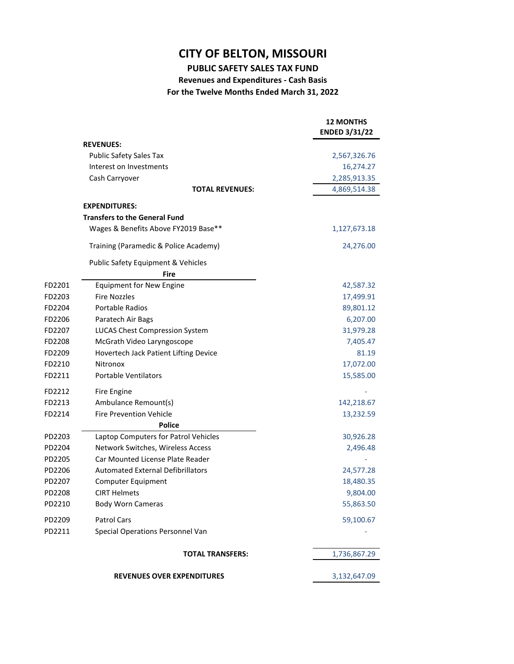**PUBLIC SAFETY SALES TAX FUND**

**Revenues and Expenditures ‐ Cash Basis For the Twelve Months Ended March 31, 2022**

|        |                                          | <b>12 MONTHS</b><br><b>ENDED 3/31/22</b> |
|--------|------------------------------------------|------------------------------------------|
|        | <b>REVENUES:</b>                         |                                          |
|        | <b>Public Safety Sales Tax</b>           | 2,567,326.76                             |
|        | Interest on Investments                  | 16,274.27                                |
|        | Cash Carryover                           | 2,285,913.35                             |
|        | <b>TOTAL REVENUES:</b>                   | 4,869,514.38                             |
|        | <b>EXPENDITURES:</b>                     |                                          |
|        | <b>Transfers to the General Fund</b>     |                                          |
|        | Wages & Benefits Above FY2019 Base**     | 1,127,673.18                             |
|        | Training (Paramedic & Police Academy)    | 24,276.00                                |
|        | Public Safety Equipment & Vehicles       |                                          |
|        | Fire                                     |                                          |
| FD2201 | <b>Equipment for New Engine</b>          | 42,587.32                                |
| FD2203 | <b>Fire Nozzles</b>                      | 17,499.91                                |
| FD2204 | <b>Portable Radios</b>                   | 89,801.12                                |
| FD2206 | Paratech Air Bags                        | 6,207.00                                 |
| FD2207 | <b>LUCAS Chest Compression System</b>    | 31,979.28                                |
| FD2208 | McGrath Video Laryngoscope               | 7,405.47                                 |
| FD2209 | Hovertech Jack Patient Lifting Device    | 81.19                                    |
| FD2210 | Nitronox                                 | 17,072.00                                |
| FD2211 | <b>Portable Ventilators</b>              | 15,585.00                                |
| FD2212 | Fire Engine                              |                                          |
| FD2213 | Ambulance Remount(s)                     | 142,218.67                               |
| FD2214 | <b>Fire Prevention Vehicle</b>           | 13,232.59                                |
|        | <b>Police</b>                            |                                          |
| PD2203 | Laptop Computers for Patrol Vehicles     | 30,926.28                                |
| PD2204 | Network Switches, Wireless Access        | 2,496.48                                 |
| PD2205 | Car Mounted License Plate Reader         |                                          |
| PD2206 | <b>Automated External Defibrillators</b> | 24,577.28                                |
| PD2207 | <b>Computer Equipment</b>                | 18,480.35                                |
| PD2208 | CIRT Helmets                             | 9.804.00                                 |
| PD2210 | <b>Body Worn Cameras</b>                 | 55,863.50                                |
| PD2209 | <b>Patrol Cars</b>                       | 59,100.67                                |
| PD2211 | Special Operations Personnel Van         |                                          |
|        | <b>TOTAL TRANSFERS:</b>                  | 1,736,867.29                             |
|        | <b>REVENUES OVER EXPENDITURES</b>        | 3,132,647.09                             |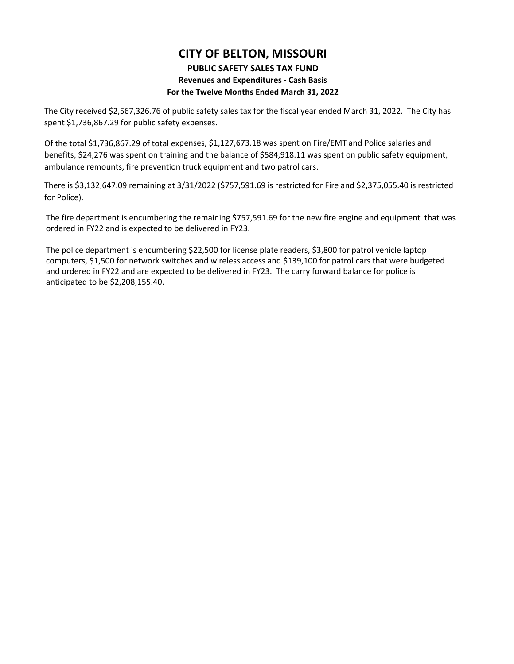#### **PUBLIC SAFETY SALES TAX FUND**

#### **Revenues and Expenditures ‐ Cash Basis**

#### **For the Twelve Months Ended March 31, 2022**

The City received \$2,567,326.76 of public safety sales tax for the fiscal year ended March 31, 2022. The City has spent \$1,736,867.29 for public safety expenses.

Of the total \$1,736,867.29 of total expenses, \$1,127,673.18 was spent on Fire/EMT and Police salaries and benefits, \$24,276 was spent on training and the balance of \$584,918.11 was spent on public safety equipment, ambulance remounts, fire prevention truck equipment and two patrol cars.

There is \$3,132,647.09 remaining at 3/31/2022 (\$757,591.69 is restricted for Fire and \$2,375,055.40 is restricted for Police).

The fire department is encumbering the remaining \$757,591.69 for the new fire engine and equipment that was ordered in FY22 and is expected to be delivered in FY23.

The police department is encumbering \$22,500 for license plate readers, \$3,800 for patrol vehicle laptop computers, \$1,500 for network switches and wireless access and \$139,100 for patrol cars that were budgeted and ordered in FY22 and are expected to be delivered in FY23. The carry forward balance for police is anticipated to be \$2,208,155.40.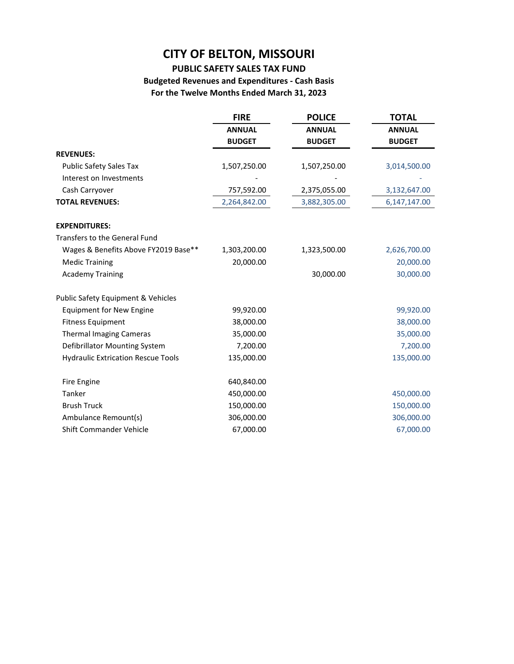# **PUBLIC SAFETY SALES TAX FUND**

# **Budgeted Revenues and Expenditures ‐ Cash Basis For the Twelve Months Ended March 31, 2023**

|                                               | <b>FIRE</b>   | <b>POLICE</b> | <b>TOTAL</b>   |
|-----------------------------------------------|---------------|---------------|----------------|
|                                               | <b>ANNUAL</b> | <b>ANNUAL</b> | <b>ANNUAL</b>  |
|                                               | <b>BUDGET</b> | <b>BUDGET</b> | <b>BUDGET</b>  |
| <b>REVENUES:</b>                              |               |               |                |
| <b>Public Safety Sales Tax</b>                | 1,507,250.00  | 1,507,250.00  | 3,014,500.00   |
| Interest on Investments                       |               |               |                |
| Cash Carryover                                | 757,592.00    | 2,375,055.00  | 3,132,647.00   |
| <b>TOTAL REVENUES:</b>                        | 2,264,842.00  | 3,882,305.00  | 6, 147, 147.00 |
| <b>EXPENDITURES:</b>                          |               |               |                |
| <b>Transfers to the General Fund</b>          |               |               |                |
| Wages & Benefits Above FY2019 Base**          | 1,303,200.00  | 1,323,500.00  | 2,626,700.00   |
| <b>Medic Training</b>                         | 20,000.00     |               | 20,000.00      |
| <b>Academy Training</b>                       |               | 30,000.00     | 30,000.00      |
| <b>Public Safety Equipment &amp; Vehicles</b> |               |               |                |
| Equipment for New Engine                      | 99,920.00     |               | 99,920.00      |
| <b>Fitness Equipment</b>                      | 38,000.00     |               | 38,000.00      |
| <b>Thermal Imaging Cameras</b>                | 35,000.00     |               | 35,000.00      |
| Defibrillator Mounting System                 | 7,200.00      |               | 7,200.00       |
| <b>Hydraulic Extrication Rescue Tools</b>     | 135,000.00    |               | 135,000.00     |
| Fire Engine                                   | 640,840.00    |               |                |
| Tanker                                        | 450,000.00    |               | 450,000.00     |
| <b>Brush Truck</b>                            | 150,000.00    |               | 150,000.00     |
| Ambulance Remount(s)                          | 306,000.00    |               | 306,000.00     |
| Shift Commander Vehicle                       | 67,000.00     |               | 67,000.00      |